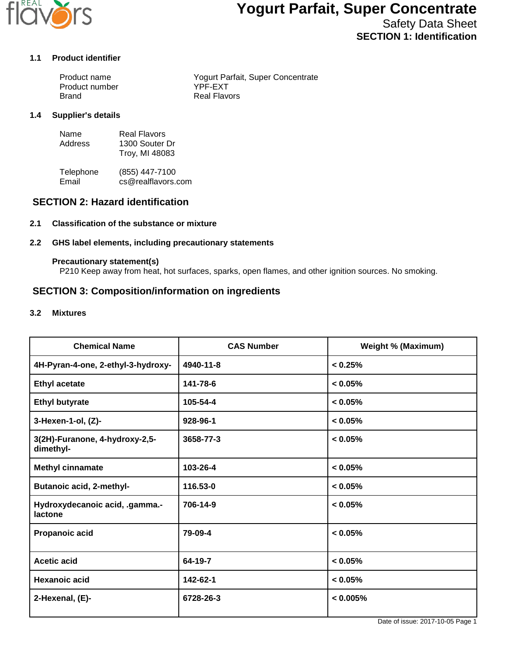

# **Yogurt Parfait, Super Concentrate**

Safety Data Sheet **SECTION 1: Identification**

### **1.1 Product identifier**

| Product name   | Yogurt Parfait, Super Concentrate |
|----------------|-----------------------------------|
| Product number | YPF-FXT                           |
| <b>Brand</b>   | <b>Real Flavors</b>               |

### **1.4 Supplier's details**

| Name    | Real Flavors   |
|---------|----------------|
| Address | 1300 Souter Dr |
|         | Troy, MI 48083 |

Telephone (855) 447-7100<br>Email cs@realflavors. cs@realflavors.com

# **SECTION 2: Hazard identification**

### **2.1 Classification of the substance or mixture**

### **2.2 GHS label elements, including precautionary statements**

#### **Precautionary statement(s)**

P210 Keep away from heat, hot surfaces, sparks, open flames, and other ignition sources. No smoking.

### **SECTION 3: Composition/information on ingredients**

#### **3.2 Mixtures**

| <b>Chemical Name</b>                        | <b>CAS Number</b> | <b>Weight % (Maximum)</b> |
|---------------------------------------------|-------------------|---------------------------|
| 4H-Pyran-4-one, 2-ethyl-3-hydroxy-          | 4940-11-8         | < 0.25%                   |
| <b>Ethyl acetate</b>                        | 141-78-6          | < 0.05%                   |
| <b>Ethyl butyrate</b>                       | 105-54-4          | < 0.05%                   |
| 3-Hexen-1-ol, (Z)-                          | 928-96-1          | < 0.05%                   |
| 3(2H)-Furanone, 4-hydroxy-2,5-<br>dimethyl- | 3658-77-3         | < 0.05%                   |
| <b>Methyl cinnamate</b>                     | 103-26-4          | $< 0.05\%$                |
| <b>Butanoic acid, 2-methyl-</b>             | 116.53-0          | < 0.05%                   |
| Hydroxydecanoic acid, .gamma.-<br>lactone   | 706-14-9          | < 0.05%                   |
| Propanoic acid                              | 79-09-4           | < 0.05%                   |
| <b>Acetic acid</b>                          | 64-19-7           | < 0.05%                   |
| Hexanoic acid                               | 142-62-1          | < 0.05%                   |
| 2-Hexenal, (E)-                             | 6728-26-3         | < 0.005%                  |

Date of issue: 2017-10-05 Page 1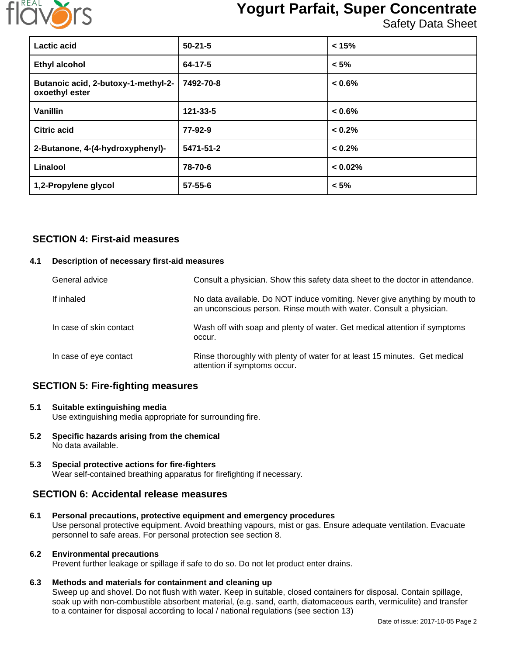

# **Yogurt Parfait, Super Concentrate**

Safety Data Sheet

| Lactic acid                                           | $50-21-5$     | < 15%     |
|-------------------------------------------------------|---------------|-----------|
| <b>Ethyl alcohol</b>                                  | 64-17-5       | $< 5\%$   |
| Butanoic acid, 2-butoxy-1-methyl-2-<br>oxoethyl ester | 7492-70-8     | $< 0.6\%$ |
| <b>Vanillin</b>                                       | 121-33-5      | $< 0.6\%$ |
| <b>Citric acid</b>                                    | 77-92-9       | < 0.2%    |
| 2-Butanone, 4-(4-hydroxyphenyl)-                      | 5471-51-2     | < 0.2%    |
| Linalool                                              | 78-70-6       | < 0.02%   |
| 1,2-Propylene glycol                                  | $57 - 55 - 6$ | $< 5\%$   |

# **SECTION 4: First-aid measures**

### **4.1 Description of necessary first-aid measures**

| General advice          | Consult a physician. Show this safety data sheet to the doctor in attendance.                                                                     |
|-------------------------|---------------------------------------------------------------------------------------------------------------------------------------------------|
| If inhaled              | No data available. Do NOT induce vomiting. Never give anything by mouth to<br>an unconscious person. Rinse mouth with water. Consult a physician. |
| In case of skin contact | Wash off with soap and plenty of water. Get medical attention if symptoms<br>occur.                                                               |
| In case of eye contact  | Rinse thoroughly with plenty of water for at least 15 minutes. Get medical<br>attention if symptoms occur.                                        |

# **SECTION 5: Fire-fighting measures**

- **5.1 Suitable extinguishing media** Use extinguishing media appropriate for surrounding fire.
- **5.2 Specific hazards arising from the chemical** No data available.
- **5.3 Special protective actions for fire-fighters** Wear self-contained breathing apparatus for firefighting if necessary.

# **SECTION 6: Accidental release measures**

**6.1 Personal precautions, protective equipment and emergency procedures** Use personal protective equipment. Avoid breathing vapours, mist or gas. Ensure adequate ventilation. Evacuate personnel to safe areas. For personal protection see section 8.

# **6.2 Environmental precautions**

Prevent further leakage or spillage if safe to do so. Do not let product enter drains.

# **6.3 Methods and materials for containment and cleaning up**

Sweep up and shovel. Do not flush with water. Keep in suitable, closed containers for disposal. Contain spillage, soak up with non-combustible absorbent material, (e.g. sand, earth, diatomaceous earth, vermiculite) and transfer to a container for disposal according to local / national regulations (see section 13)